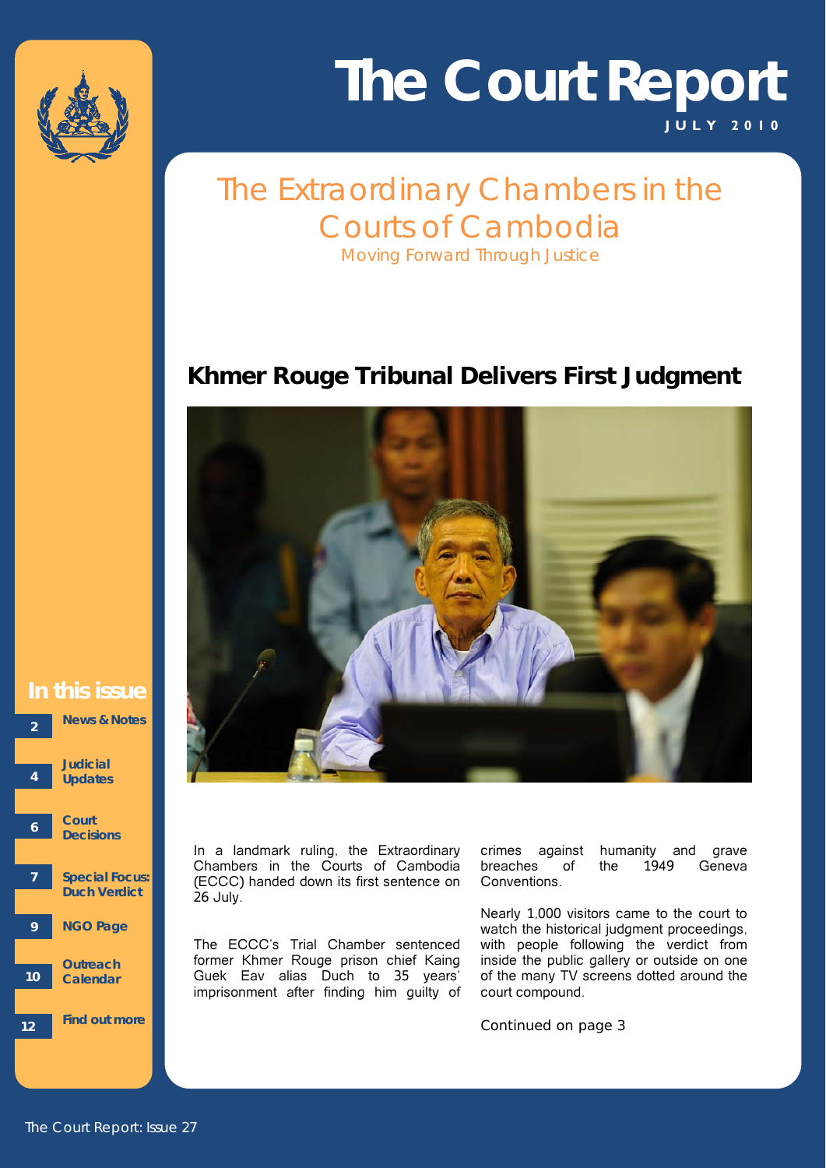

# **J ULY 2010 The Court Report**

## The Extraordinary Chambers in the Courts of Cambodia *Moving Forward Through Justice*

## **Khmer Rouge Tribunal Delivers First Judgment**



#### l<br>L **In this issue 2 News & Notes**



In a landmark ruling, the Extraordinary Chambers in the Courts of Cambodia (ECCC) handed down its first sentence on 26 July.

The ECCC's Trial Chamber sentenced former Khmer Rouge prison chief Kaing Guek Eav alias Duch to 35 years' imprisonment after finding him guilty of crimes against humanity and grave breaches of the 1949 Geneva Conventions.

Nearly 1,000 visitors came to the court to watch the historical judgment proceedings, with people following the verdict from inside the public gallery or outside on one of the many TV screens dotted around the court compound.

*Continued on page 3*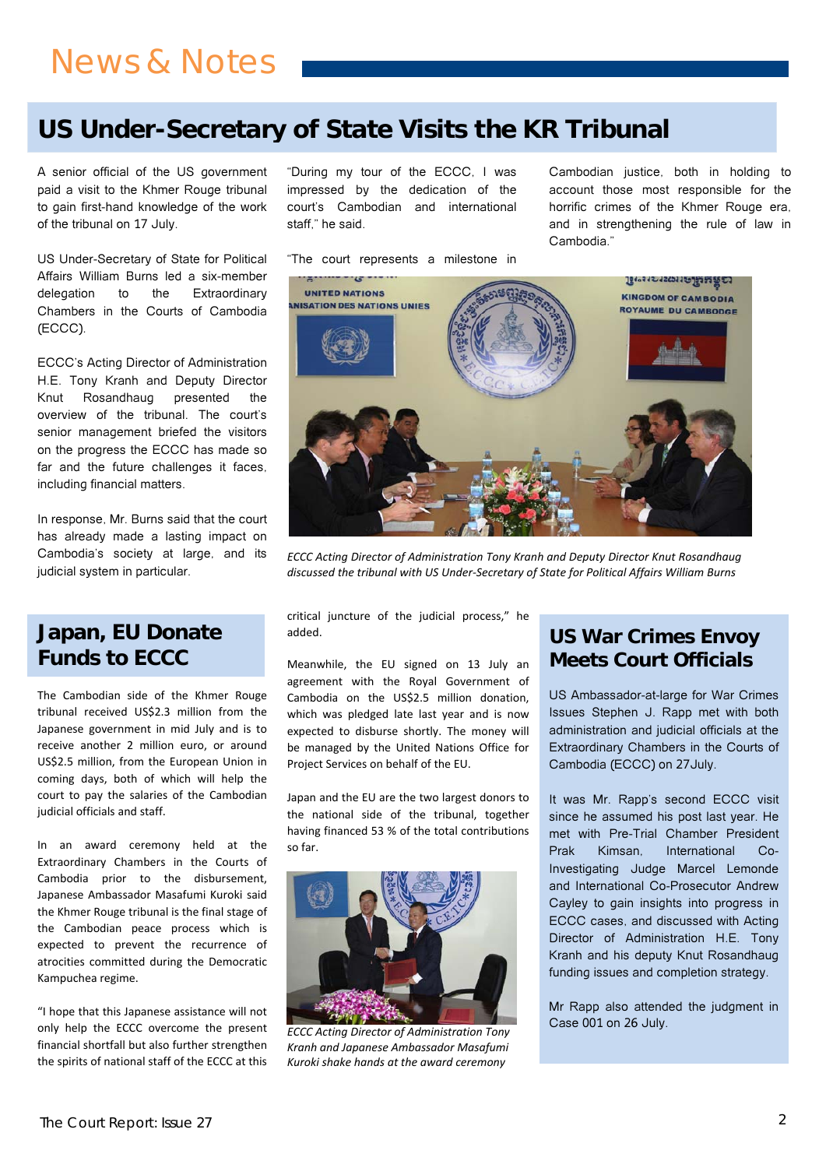## **US Under-Secretary of State Visits the KR Tribunal**

**Service Service** 

 paid a visit to the Khmer Rouge tribunal A senior official of the US government to gain first-hand knowledge of the work of the tribunal on 17 July.

Chambers in the Courts of Cambodia US Under-Secretary of State for Political Affairs William Burns led a six-member delegation to the Extraordinary (ECCC).

 H.E. Tony Kranh and Deputy Director including financial matters. ECCC's Acting Director of Administration Knut Rosandhaug presented the overview of the tribunal. The court's senior management briefed the visitors on the progress the ECCC has made so far and the future challenges it faces,

In response, Mr. Burns said that the court has already made a lasting impact on Cambodia's society at large, and its judicial system in particular.

### **Japan, EU Donate Funds to ECCC**

The Cambodian side of the Khmer Rouge tribunal received US\$2.3 million from the Japanese government in mid July and is to receive another 2 million euro, or around US\$2.5 million, from the European Union in coming days, both of which will help the court to pay the salaries of the Cambodian judicial officials and staff.

In an award ceremony held at the Extraordinary Chambers in the Courts of Cambodia prior to the disbursement, Japanese Ambassador Masafumi Kuroki said the Khmer Rouge tribunal is the final stage of the Cambodian peace process which is expected to prevent the recurrence of atrocities committed during the Democratic Kampuchea regime.

"I hope that this Japanese assistance will not only help the ECCC overcome the present financial shortfall but also further strengthen the spirits of national staff of the ECCC at this "During my tour of the ECCC, I was impressed by the dedication of the court's Cambodian and international staff," he said.

"The court represents a milestone in

Cambodian justice, both in holding to account those most responsible for the horrific crimes of the Khmer Rouge era, and in strengthening the rule of law in Cambodia."



*ECCC Acting Director of Administration Tony Kranh and Deputy Director Knut Rosandhaug discussed the tribunal with US Under‐Secretary of State for Political Affairs William Burns*

critical juncture of the judicial process," he added.

Meanwhile, the EU signed on 13 July an agreement with the Royal Government of Cambodia on the US\$2.5 million donation, which was pledged late last year and is now expected to disburse shortly. The money will be managed by the United Nations Office for Project Services on behalf of the EU.

Japan and the EU are the two largest donors to the national side of the tribunal, together having financed 53 % of the total contributions so far.



*ECCC Acting Director of Administration Tony Kranh and Japanese Ambassador Masafumi Kuroki shake hands at the award ceremony*

### **US War Crimes Envoy Meets Court Officials**

US Ambassador-at-large for War Crimes Issues Stephen J. Rapp met with both administration and judicial officials at the Extraordinary Chambers in the Courts of Cambodia (ECCC) on 27July.

It was Mr. Rapp's second ECCC visit since he assumed his post last year. He met with Pre-Trial Chamber President Prak Kimsan, International Co-Investigating Judge Marcel Lemonde and International Co-Prosecutor Andrew Cayley to gain insights into progress in ECCC cases, and discussed with Acting Director of Administration H.E. Tony Kranh and his deputy Knut Rosandhaug funding issues and completion strategy.

Mr Rapp also attended the judgment in Case 001 on 26 July.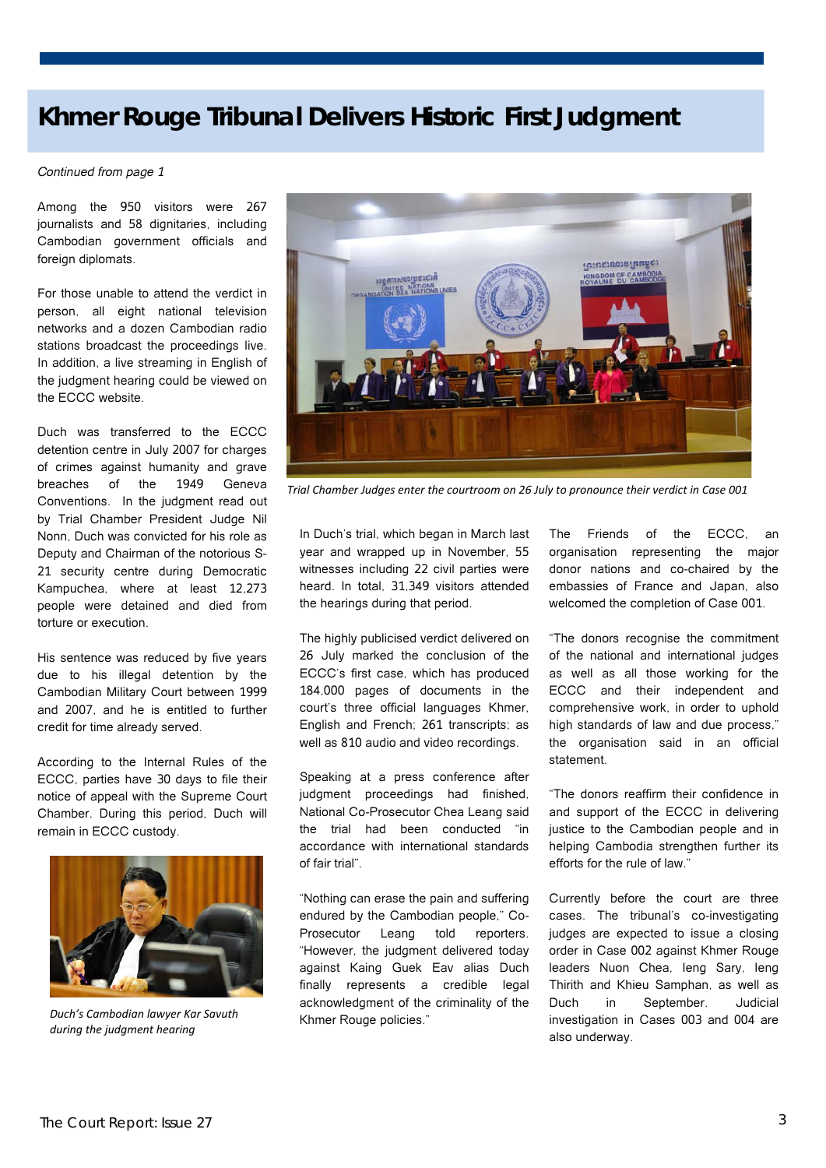## **Khmer Rouge Tribunal Delivers Historic First Judgment**

#### *Continued from page 1*

 foreign diplomats. Among the 950 visitors were 267 journalists and 58 dignitaries, including Cambodian government officials and

For those unable to attend the verdict in person, all eight national television networks and a dozen Cambodian radio stations broadcast the proceedings live. In addition, a live streaming in English of the judgment hearing could be viewed on the ECCC website.

Duch was transferred to the ECCC detention centre in July 2007 for charges of crimes against humanity and grave breaches of the 1949 Geneva Conventions. In the judgment read out by Trial Chamber President Judge Nil Nonn, Duch was convicted for his role as Deputy and Chairman of the notorious S-21 security centre during Democratic Kampuchea, where at least 12,273 people were detained and died from torture or execution.

His sentence was reduced by five years due to his illegal detention by the Cambodian Military Court between 1999 and 2007, and he is entitled to further credit for time already served.

According to the Internal Rules of the ECCC, parties have 30 days to file their notice of appeal with the Supreme Court Chamber. During this period, Duch will remain in ECCC custody.



*Duch's Cambodian lawyer Kar Savuth during the judgment hearing*



*Trial Chamber Judges enter the courtroom on 26 July to pronounce their verdict in Case 001*

In Duch's trial, which began in March last year and wrapped up in November, 55 witnesses including 22 civil parties were heard. In total, 31,349 visitors attended the hearings during that period.

The highly publicised verdict delivered on 26 July marked the conclusion of the ECCC's first case, which has produced 184,000 pages of documents in the court's three official languages Khmer, English and French; 261 transcripts; as well as 810 audio and video recordings.

Speaking at a press conference after judgment proceedings had finished, National Co-Prosecutor Chea Leang said the trial had been conducted "in accordance with international standards of fair trial".

"Nothing can erase the pain and suffering endured by the Cambodian people," Co-Prosecutor Leang told reporters. "However, the judgment delivered today against Kaing Guek Eav alias Duch finally represents a credible legal acknowledgment of the criminality of the Khmer Rouge policies."

The Friends of the ECCC, an organisation representing the major donor nations and co-chaired by the embassies of France and Japan, also welcomed the completion of Case 001.

"The donors recognise the commitment of the national and international judges as well as all those working for the ECCC and their independent and comprehensive work, in order to uphold high standards of law and due process," the organisation said in an official statement.

"The donors reaffirm their confidence in and support of the ECCC in delivering justice to the Cambodian people and in helping Cambodia strengthen further its efforts for the rule of law."

Currently before the court are three cases. The tribunal's co-investigating judges are expected to issue a closing order in Case 002 against Khmer Rouge leaders Nuon Chea, Ieng Sary, Ieng Thirith and Khieu Samphan, as well as Duch in September. Judicial investigation in Cases 003 and 004 are also underway.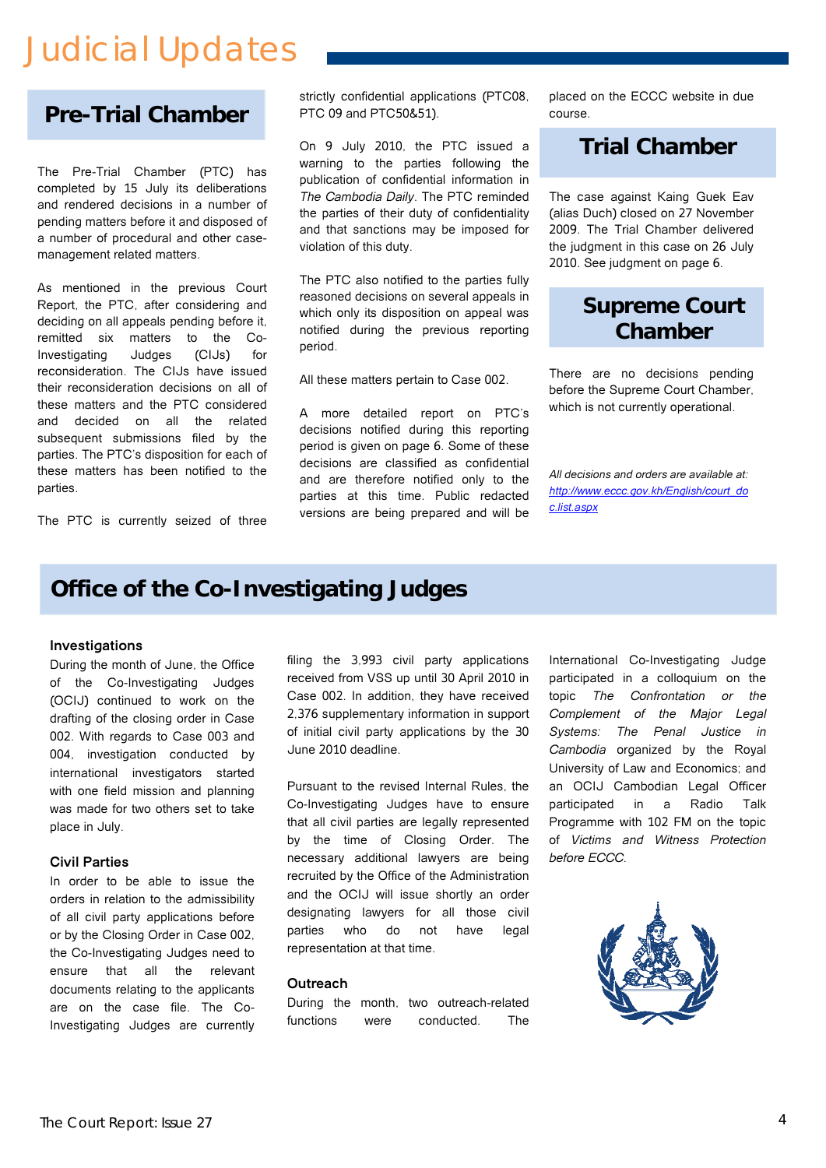# Judicial Updates

## **Pre-Trial Chamber**

The Pre-Trial Chamber (PTC) has completed by 15 July its deliberations and rendered decisions in a number of pending matters before it and disposed of a number of procedural and other casemanagement related matters.

subsequent submissions med by the<br>parties. The PTC's disposition for each of As mentioned in the previous Court Report, the PTC, after considering and deciding on all appeals pending before it, remitted six matters to the Co-Investigating Judges (CIJs) for reconsideration. The CIJs have issued their reconsideration decisions on all of these matters and the PTC considered and decided on all the related subsequent submissions filed by the these matters has been notified to the parties.

The PTC is currently seized of three

strictly confidential applications (PTC08, PTC 09 and PTC50&51).

On 9 July 2010, the PTC issued a warning to the parties following the publication of confidential information in *The Cambodia Daily*. The PTC reminded the parties of their duty of confidentiality and that sanctions may be imposed for violation of this duty.

The PTC also notified to the parties fully reasoned decisions on several appeals in which only its disposition on appeal was notified during the previous reporting period.

All these matters pertain to Case 002.

A more detailed report on PTC's decisions notified during this reporting period is given on page 6. Some of these decisions are classified as confidential and are therefore notified only to the parties at this time. Public redacted versions are being prepared and will be placed on the ECCC website in due course.

### **Trial Chamber**

The case against Kaing Guek Eav (alias Duch) closed on 27 November 2009. The Trial Chamber delivered the judgment in this case on 26 July 2010. See judgment on page 6.

## **Supreme Court Chamber**

There are no decisions pending before the Supreme Court Chamber which is not currently operational.

*All decisions and orders are available at: http://www.eccc.gov.kh/English/court\_do c.list.aspx*

## **Office of the Co-Investigating Judges**

#### **Investigations**

During the month of June, the Office of the Co-Investigating Judges (OCIJ) continued to work on the drafting of the closing order in Case 002. With regards to Case 003 and 004, investigation conducted by international investigators started with one field mission and planning was made for two others set to take place in July.

#### **Civil Parties**

In order to be able to issue the orders in relation to the admissibility of all civil party applications before or by the Closing Order in Case 002, the Co-Investigating Judges need to ensure that all the relevant documents relating to the applicants are on the case file. The Co-Investigating Judges are currently filing the 3,993 civil party applications received from VSS up until 30 April 2010 in Case 002. In addition, they have received 2,376 supplementary information in support of initial civil party applications by the 30 June 2010 deadline.

Pursuant to the revised Internal Rules, the Co-Investigating Judges have to ensure that all civil parties are legally represented by the time of Closing Order. The necessary additional lawyers are being recruited by the Office of the Administration and the OCIJ will issue shortly an order designating lawyers for all those civil parties who do not have legal representation at that time.

#### **Outreach**

During the month, two outreach-related functions were conducted. The

International Co-Investigating Judge participated in a colloquium on the topic *The Confrontation or the Complement of the Major Legal Systems: The Penal Justice in Cambodia* organized by the Royal University of Law and Economics; and an OCIJ Cambodian Legal Officer participated in a Radio Talk Programme with 102 FM on the topic of *Victims and Witness Protection before ECCC*.

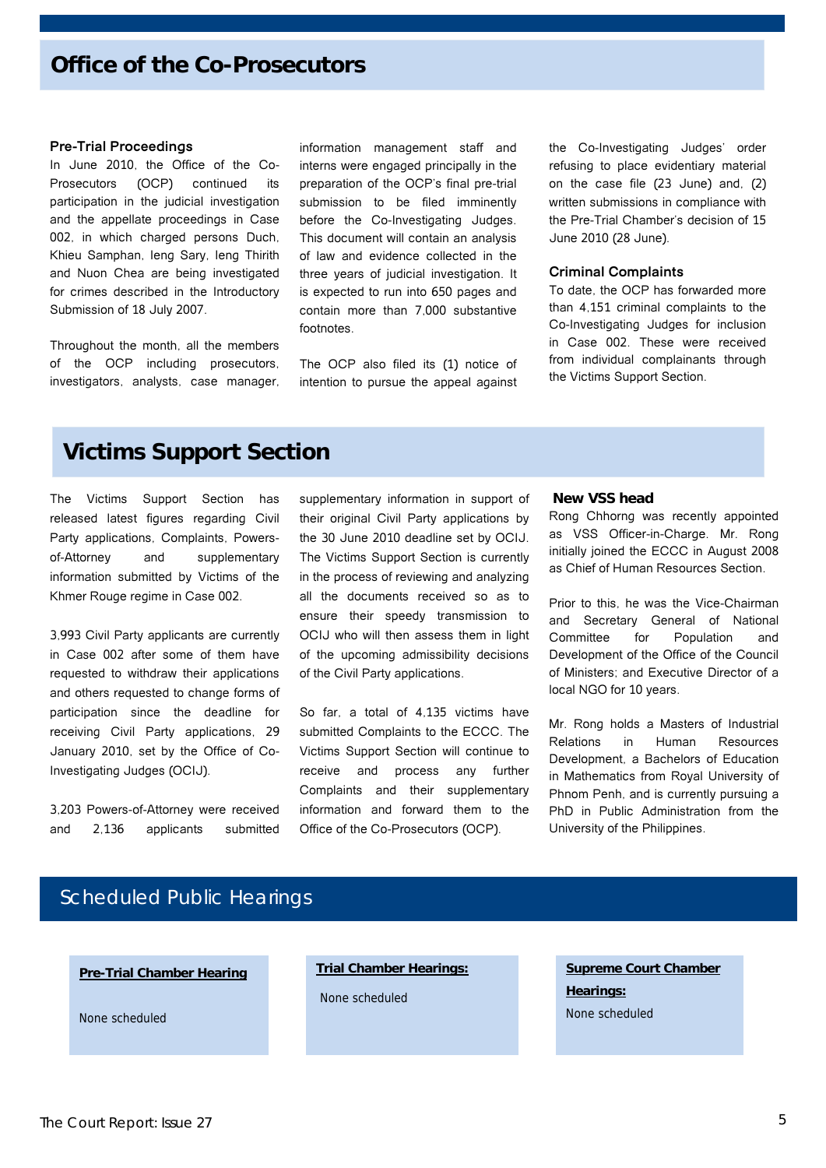### **Office of the Co-Prosecutors**

#### **Pre-Trial Proceedings**

In June 2010, the Office of the Co-Prosecutors (OCP) continued its participation in the judicial investigation and the appellate proceedings in Case 002, in which charged persons Duch, Khieu Samphan, Ieng Sary, Ieng Thirith and Nuon Chea are being investigated for crimes described in the Introductory Submission of 18 July 2007.

Throughout the month, all the members of the OCP including prosecutors, investigators, analysts, case manager,

information management staff and interns were engaged principally in the preparation of the OCP's final pre-trial submission to be filed imminently before the Co-Investigating Judges. This document will contain an analysis of law and evidence collected in the three years of judicial investigation. It is expected to run into 650 pages and contain more than 7,000 substantive footnotes.

The OCP also filed its (1) notice of intention to pursue the appeal against the Co-Investigating Judges' order refusing to place evidentiary material on the case file (23 June) and, (2) written submissions in compliance with the Pre-Trial Chamber's decision of 15 June 2010 (28 June).

#### **Criminal Complaints**

To date, the OCP has forwarded more than 4,151 criminal complaints to the Co-Investigating Judges for inclusion in Case 002. These were received from individual complainants through the Victims Support Section.

### **Victims Support Section**

The Victims Support Section has released latest figures regarding Civil Party applications, Complaints, Powersof-Attorney and supplementary information submitted by Victims of the Khmer Rouge regime in Case 002.

3,993 Civil Party applicants are currently in Case 002 after some of them have requested to withdraw their applications and others requested to change forms of participation since the deadline for receiving Civil Party applications, 29 January 2010, set by the Office of Co-Investigating Judges (OCIJ).

3,203 Powers-of-Attorney were received and 2,136 applicants submitted

supplementary information in support of their original Civil Party applications by the 30 June 2010 deadline set by OCIJ. The Victims Support Section is currently in the process of reviewing and analyzing all the documents received so as to ensure their speedy transmission to OCIJ who will then assess them in light of the upcoming admissibility decisions of the Civil Party applications.

So far, a total of 4,135 victims have submitted Complaints to the ECCC. The Victims Support Section will continue to receive and process any further Complaints and their supplementary information and forward them to the Office of the Co-Prosecutors (OCP).

#### **New VSS head**

Rong Chhorng was recently appointed as VSS Officer-in-Charge. Mr. Rong initially joined the ECCC in August 2008 as Chief of Human Resources Section.

Prior to this, he was the Vice-Chairman and Secretary General of National Committee for Population and Development of the Office of the Council of Ministers; and Executive Director of a local NGO for 10 years.

Mr. Rong holds a Masters of Industrial Relations in Human Resources Development, a Bachelors of Education in Mathematics from Royal University of Phnom Penh, and is currently pursuing a PhD in Public Administration from the University of the Philippines.

### Scheduled Public Hearings

#### **Pre-Trial Chamber Hearing**

None scheduled

#### **Trial Chamber Hearings:**

None scheduled

**Supreme Court Chamber Hearings:** None scheduled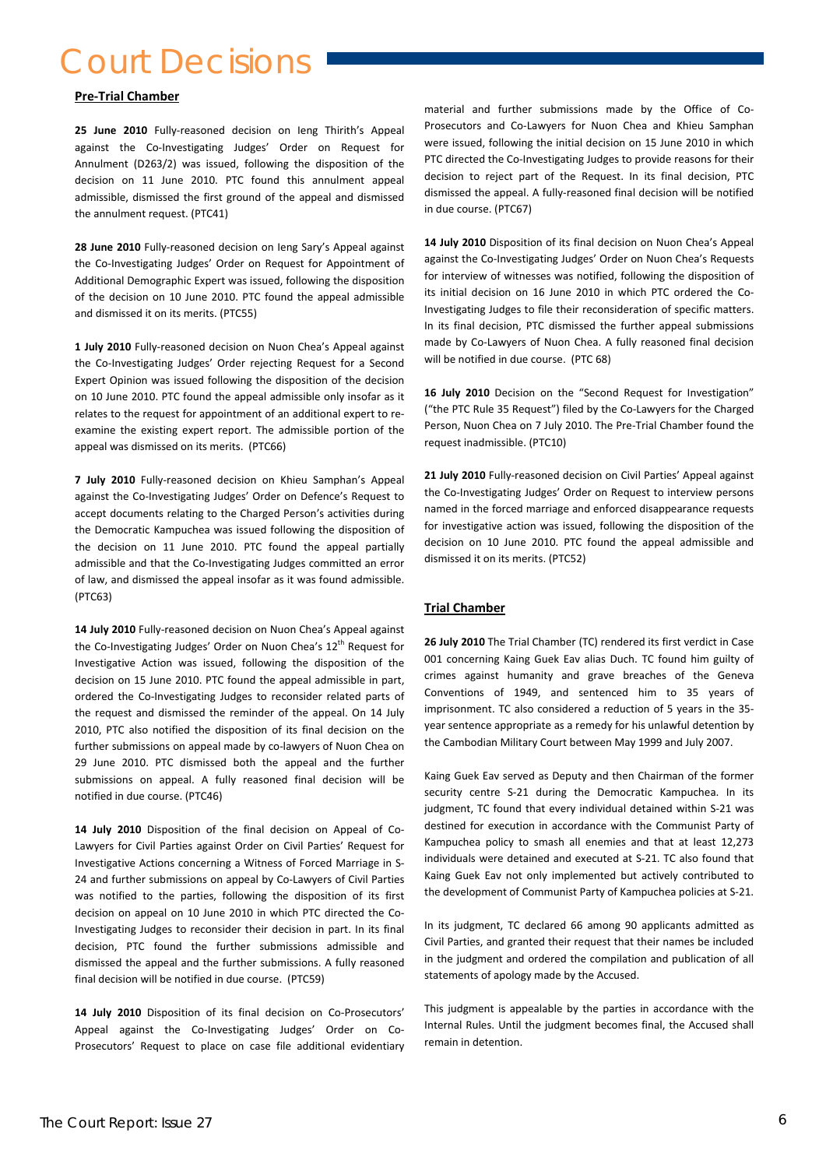## Court Decisions

#### **Pre‐Trial Chamber**

**25 June 2010** Fully‐reasoned decision on Ieng Thirith's Appeal against the Co-Investigating Judges' Order on Request for Annulment (D263/2) was issued, following the disposition of the decision on 11 June 2010. PTC found this annulment appeal admissible, dismissed the first ground of the appeal and dismissed the annulment request. (PTC41)

**28 June 2010** Fully‐reasoned decision on Ieng Sary's Appeal against the Co-Investigating Judges' Order on Request for Appointment of Additional Demographic Expert was issued, following the disposition of the decision on 10 June 2010. PTC found the appeal admissible and dismissed it on its merits. (PTC55)

**1 July 2010** Fully‐reasoned decision on Nuon Chea's Appeal against the Co-Investigating Judges' Order rejecting Request for a Second Expert Opinion was issued following the disposition of the decision on 10 June 2010. PTC found the appeal admissible only insofar as it relates to the request for appointment of an additional expert to re‐ examine the existing expert report. The admissible portion of the appeal was dismissed on its merits. (PTC66)

**7 July 2010** Fully‐reasoned decision on Khieu Samphan's Appeal against the Co‐Investigating Judges' Order on Defence's Request to accept documents relating to the Charged Person's activities during the Democratic Kampuchea was issued following the disposition of the decision on 11 June 2010. PTC found the appeal partially admissible and that the Co‐Investigating Judges committed an error of law, and dismissed the appeal insofar as it was found admissible. (PTC63)

Investigative Action was issued, following the disposition of the the componenting ram<sub>is</sub> damis been the basic formation, same of the Geneva<br>decision on 15 June 2010 PTC found the anneal admissible in part of trimes again ordered the Co-Investigating Judges to reconsider related parts of Conventions of 1949, and s **14 July 2010** Fully‐reasoned decision on Nuon Chea's Appeal against the Co-Investigating Judges' Order on Nuon Chea's 12<sup>th</sup> Request for Investigative Action was issued, following the disposition of the decision on 15 June 2010. PTC found the appeal admissible in part, the request and dismissed the reminder of the appeal. On 14 July 2010, PTC also notified the disposition of its final decision on the further submissions on appeal made by co-lawyers of Nuon Chea on 29 June 2010. PTC dismissed both the appeal and the further submissions on appeal. A fully reasoned final decision will be notified in due course. (PTC46)

decision, PTC found the further submissions admissible and **14 July 2010** Disposition of the final decision on Appeal of Co‐ Lawyers for Civil Parties against Order on Civil Parties' Request for Investigative Actions concerning a Witness of Forced Marriage in S‐ 24 and further submissions on appeal by Co-Lawyers of Civil Parties was notified to the parties, following the disposition of its first decision on appeal on 10 June 2010 in which PTC directed the Co‐ Investigating Judges to reconsider their decision in part. In its final dismissed the appeal and the further submissions. A fully reasoned final decision will be notified in due course. (PTC59)

14 **July 2010** Disposition of its final decision on Co-Prosecutors' Appeal against the Co-Investigating Judges' Order on Co-Prosecutors' Request to place on case file additional evidentiary material and further submissions made by the Office of Co‐ Prosecutors and Co‐Lawyers for Nuon Chea and Khieu Samphan were issued, following the initial decision on 15 June 2010 in which PTC directed the Co-Investigating Judges to provide reasons for their decision to reject part of the Request. In its final decision, PTC dismissed the appeal. A fully‐reasoned final decision will be notified in due course. (PTC67)

**14 July 2010** Disposition of its final decision on Nuon Chea's Appeal against the Co-Investigating Judges' Order on Nuon Chea's Requests for interview of witnesses was notified, following the disposition of its initial decision on 16 June 2010 in which PTC ordered the Co-Investigating Judges to file their reconsideration of specific matters. In its final decision, PTC dismissed the further appeal submissions made by Co‐Lawyers of Nuon Chea. A fully reasoned final decision will be notified in due course. (PTC 68)

**16 July 2010** Decision on the "Second Request for Investigation" ("the PTC Rule 35 Request") filed by the Co‐Lawyers for the Charged Person, Nuon Chea on 7 July 2010. The Pre‐Trial Chamber found the request inadmissible. (PTC10)

**21 July 2010** Fully‐reasoned decision on Civil Parties' Appeal against the Co-Investigating Judges' Order on Request to interview persons named in the forced marriage and enforced disappearance requests for investigative action was issued, following the disposition of the decision on 10 June 2010. PTC found the appeal admissible and dismissed it on its merits. (PTC52)

#### **Trial Chamber**

**26 July 2010** The Trial Chamber (TC) rendered its first verdict in Case 001 concerning Kaing Guek Eav alias Duch. TC found him guilty of Conventions of 1949, and sentenced him to 35 years of imprisonment. TC also considered a reduction of 5 years in the 35year sentence appropriate as a remedy for his unlawful detention by the Cambodian Military Court between May 1999 and July 2007.

Kaing Guek Eav served as Deputy and then Chairman of the former security centre S-21 during the Democratic Kampuchea. In its judgment, TC found that every individual detained within S‐21 was destined for execution in accordance with the Communist Party of Kampuchea policy to smash all enemies and that at least 12,273 individuals were detained and executed at S‐21. TC also found that Kaing Guek Eav not only implemented but actively contributed to the development of Communist Party of Kampuchea policies at S‐21.

In its judgment, TC declared 66 among 90 applicants admitted as Civil Parties, and granted their request that their names be included in the judgment and ordered the compilation and publication of all statements of apology made by the Accused.

This judgment is appealable by the parties in accordance with the Internal Rules. Until the judgment becomes final, the Accused shall remain in detention.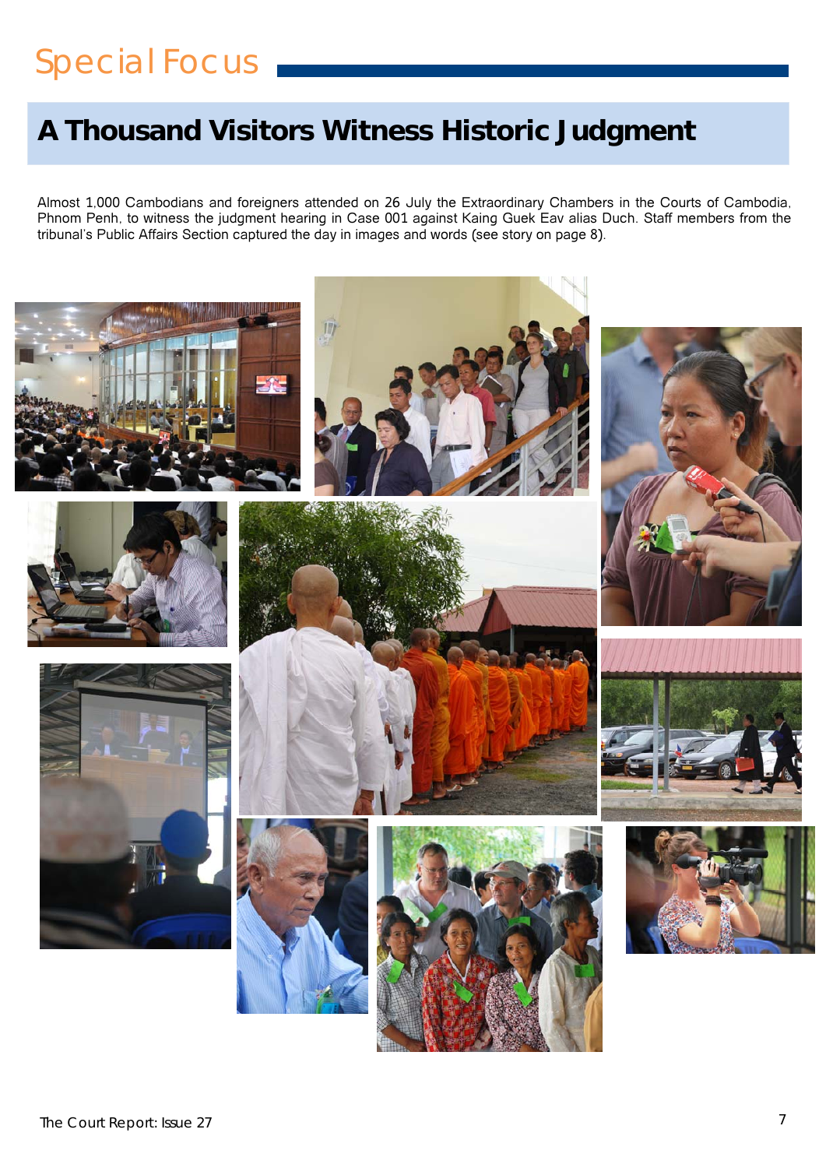# Special Focus

## **A Thousand Visitors Witness Historic Judgment**

Almost 1,000 Cambodians and foreigners attended on 26 July the Extraordinary Chambers in the Courts of Cambodia, Phnom Penh, to witness the judgment hearing in Case 001 against Kaing Guek Eav alias Duch. Staff members from the tribunal's Public Affairs Section captured the day in images and words (see story on page 8).

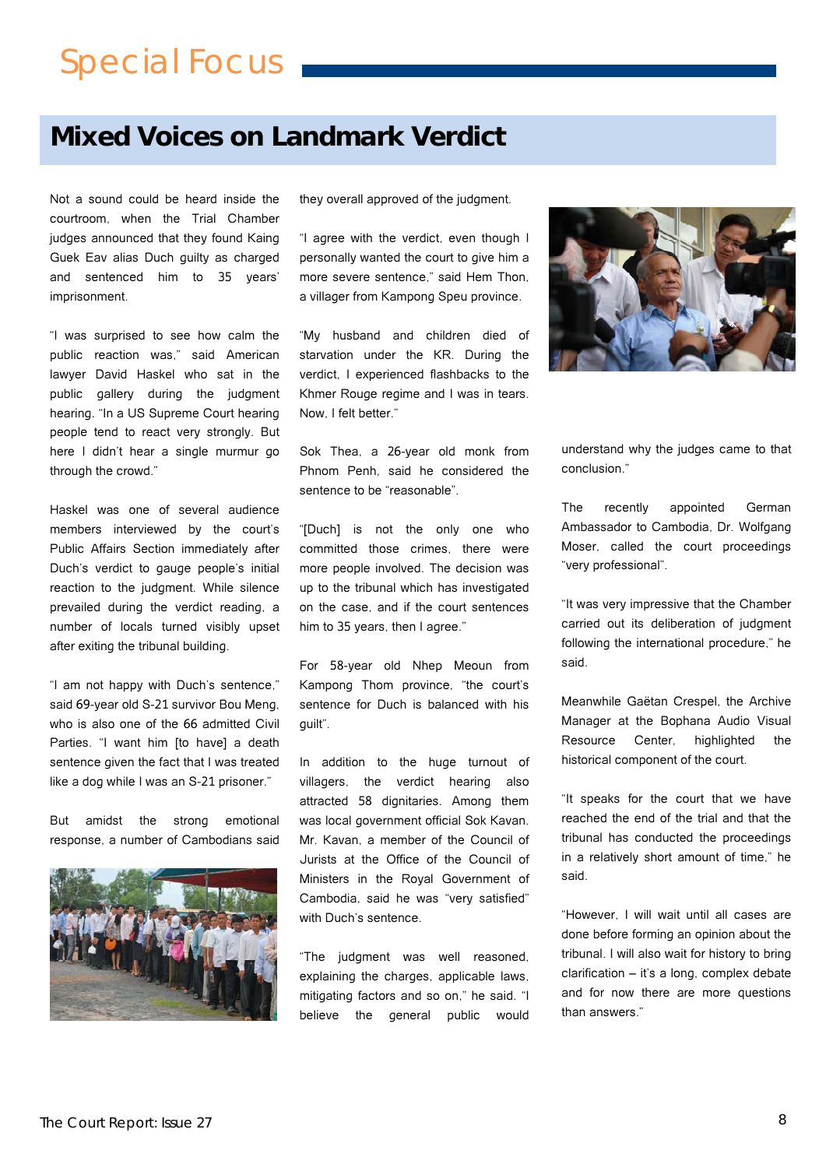# Special Focus

## **Mixed Voices on Landmark Verdict**

Not a sound could be heard inside the courtroom, when the Trial Chamber judges announced that they found Kaing Guek Eav alias Duch guilty as charged and sentenced him to 35 years' imprisonment.

"I was surprised to see how calm the public reaction was," said American lawyer David Haskel who sat in the public gallery during the judgment hearing. "In a US Supreme Court hearing people tend to react very strongly. But here I didn't hear a single murmur go through the crowd."

Haskel was one of several audience members interviewed by the court's Public Affairs Section immediately after Duch's verdict to gauge people's initial reaction to the judgment. While silence prevailed during the verdict reading, a number of locals turned visibly upset after exiting the tribunal building.

"I am not happy with Duch's sentence," said 69-year old S-21 survivor Bou Meng, who is also one of the 66 admitted Civil Parties. "I want him [to have] a death sentence given the fact that I was treated like a dog while I was an S-21 prisoner."

But amidst the strong emotional response, a number of Cambodians said



they overall approved of the judgment.

"I agree with the verdict, even though I personally wanted the court to give him a more severe sentence," said Hem Thon, a villager from Kampong Speu province.

"My husband and children died of starvation under the KR. During the verdict, I experienced flashbacks to the Khmer Rouge regime and I was in tears. Now, I felt better."

Sok Thea, a 26-year old monk from Phnom Penh, said he considered the sentence to be "reasonable".

"[Duch] is not the only one who committed those crimes, there were more people involved. The decision was up to the tribunal which has investigated on the case, and if the court sentences him to 35 years, then I agree."

For 58-year old Nhep Meoun from Kampong Thom province, "the court's sentence for Duch is balanced with his guilt".

In addition to the huge turnout of villagers, the verdict hearing also attracted 58 dignitaries. Among them was local government official Sok Kavan. Mr. Kavan, a member of the Council of Jurists at the Office of the Council of Ministers in the Royal Government of Cambodia, said he was "very satisfied" with Duch's sentence.

"The judgment was well reasoned, explaining the charges, applicable laws, mitigating factors and so on," he said. "I believe the general public would



understand why the judges came to that conclusion."

The recently appointed German Ambassador to Cambodia, Dr. Wolfgang Moser, called the court proceedings "very professional".

"It was very impressive that the Chamber carried out its deliberation of judgment following the international procedure," he said.

Meanwhile Gaëtan Crespel, the Archive Manager at the Bophana Audio Visual Resource Center, highlighted the historical component of the court.

"It speaks for the court that we have reached the end of the trial and that the tribunal has conducted the proceedings in a relatively short amount of time," he said.

"However, I will wait until all cases are done before forming an opinion about the tribunal. I will also wait for history to bring clarification – it's a long, complex debate and for now there are more questions than answers."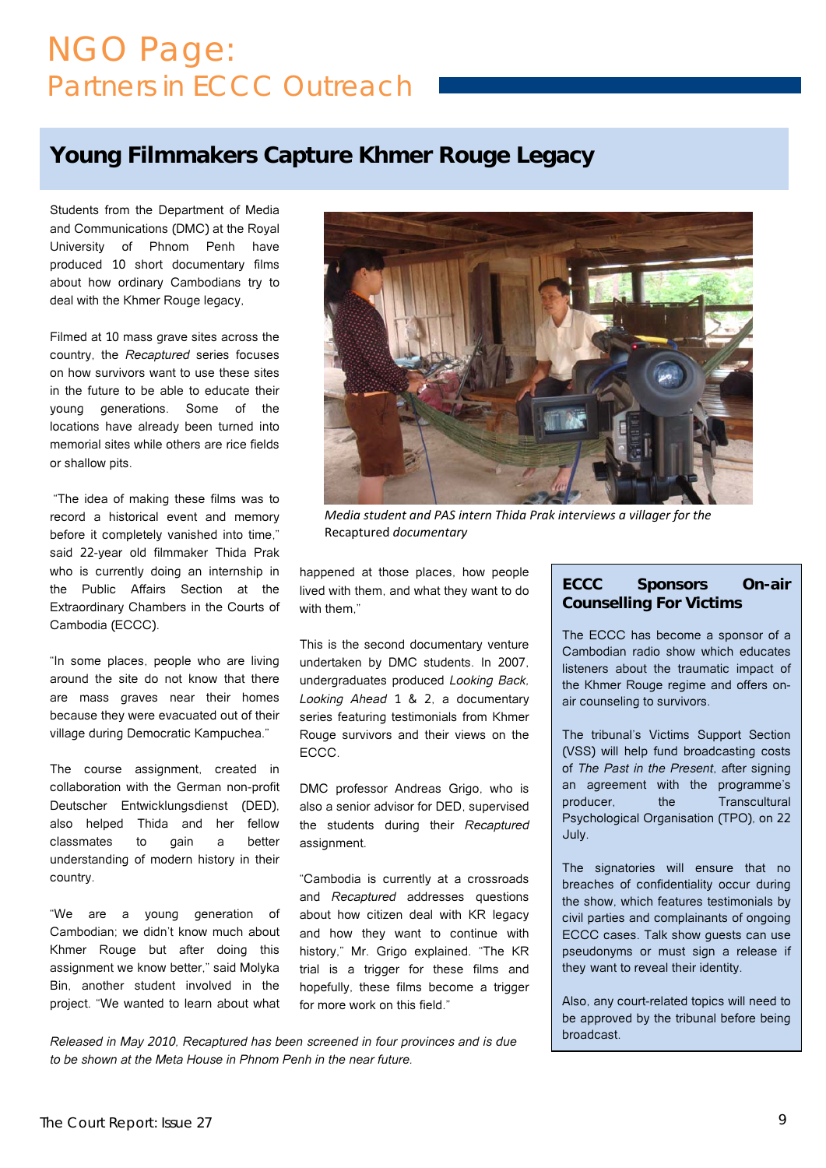## NGO Page: Partners in ECCC Outreach

## **Young Filmmakers Capture Khmer Rouge Legacy**

Students from the Department of Media and Communications (DMC) at the Royal University of Phnom Penh have produced 10 short documentary films about how ordinary Cambodians try to deal with the Khmer Rouge legacy,

Filmed at 10 mass grave sites across the country, the *Recaptured* series focuses on how survivors want to use these sites in the future to be able to educate their young generations. Some of the locations have already been turned into memorial sites while others are rice fields or shallow pits.

 "The idea of making these films was to record a historical event and memory before it completely vanished into time," said 22-year old filmmaker Thida Prak who is currently doing an internship in the Public Affairs Section at the Extraordinary Chambers in the Courts of Cambodia (ECCC).

"In some places, people who are living around the site do not know that there are mass graves near their homes because they were evacuated out of their village during Democratic Kampuchea."

The course assignment, created in collaboration with the German non-profit Deutscher Entwicklungsdienst (DED), also helped Thida and her fellow classmates to gain a better understanding of modern history in their country.

"We are a young generation of Cambodian; we didn't know much about Khmer Rouge but after doing this assignment we know better," said Molyka Bin, another student involved in the project. "We wanted to learn about what



*Media student and PAS intern Thida Prak interviews a villager for the* Recaptured *documentary*

happened at those places, how people lived with them, and what they want to do with them"

This is the second documentary venture undertaken by DMC students. In 2007, undergraduates produced *Looking Back, Looking Ahead* 1 & 2, a documentary series featuring testimonials from Khmer Rouge survivors and their views on the ECCC.

DMC professor Andreas Grigo, who is also a senior advisor for DED, supervised the students during their *Recaptured* assignment.

"Cambodia is currently at a crossroads and *Recaptured* addresses questions about how citizen deal with KR legacy and how they want to continue with history," Mr. Grigo explained. "The KR trial is a trigger for these films and hopefully, these films become a trigger for more work on this field."

broadcast. *Released in May 2010, Recaptured has been screened in four provinces and is due to be shown at the Meta House in Phnom Penh in the near future.* 

#### **ECCC Sponsors On-air Counselling For Victims**

The ECCC has become a sponsor of a Cambodian radio show which educates listeners about the traumatic impact of the Khmer Rouge regime and offers onair counseling to survivors.

The tribunal's Victims Support Section (VSS) will help fund broadcasting costs of *The Past in the Present*, after signing an agreement with the programme's producer, the Transcultural Psychological Organisation (TPO), on 22 July.

The signatories will ensure that no breaches of confidentiality occur during the show, which features testimonials by civil parties and complainants of ongoing ECCC cases. Talk show guests can use pseudonyms or must sign a release if they want to reveal their identity.

Also, any court-related topics will need to be approved by the tribunal before being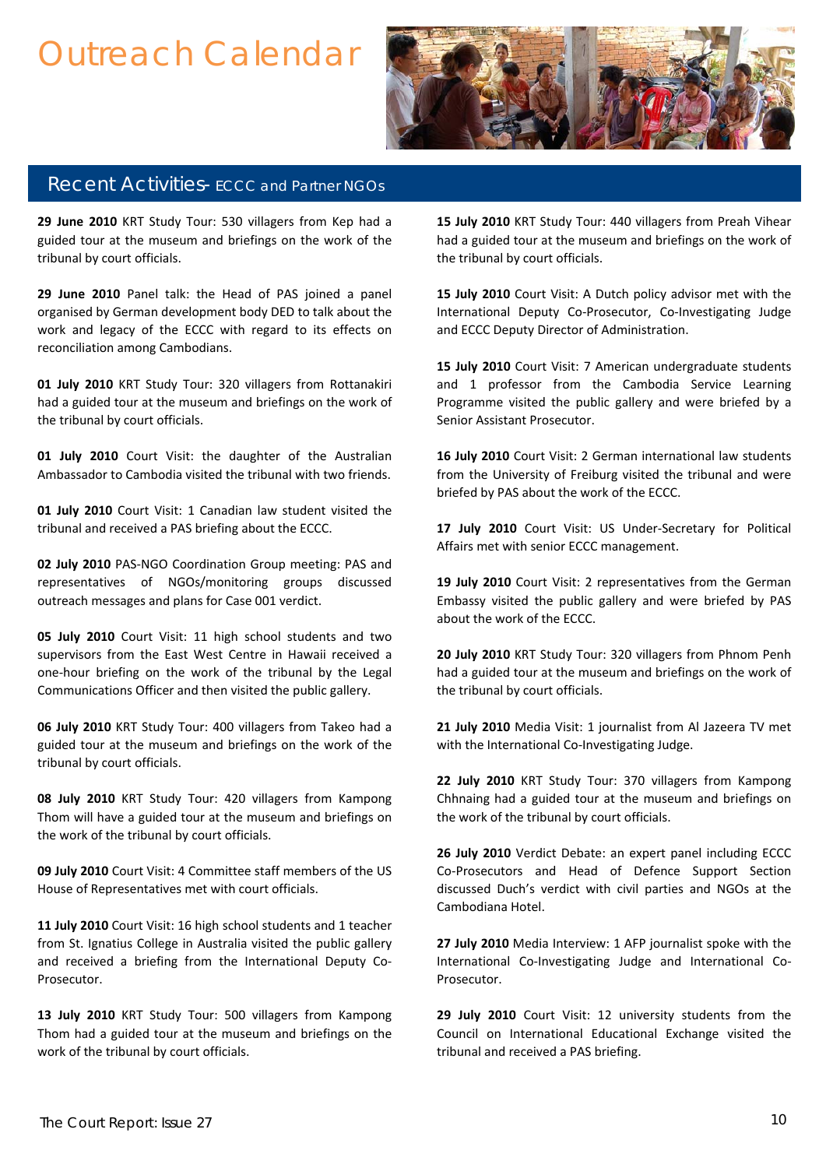# Outreach Calendar



#### Recent Activities- ECCC and Partner NGOs

**29 June 2010** KRT Study Tour: 530 villagers from Kep had a guided tour at the museum and briefings on the work of the tribunal by court officials.

**29 June 2010** Panel talk: the Head of PAS joined a panel organised by German development body DED to talk about the work and legacy of the ECCC with regard to its effects on reconciliation among Cambodians.

**01 July 2010** KRT Study Tour: 320 villagers from Rottanakiri had a guided tour at the museum and briefings on the work of the tribunal by court officials.

**01 July 2010** Court Visit: the daughter of the Australian Ambassador to Cambodia visited the tribunal with two friends.

**01 July 2010** Court Visit: 1 Canadian law student visited the tribunal and received a PAS briefing about the ECCC.

**02 July 2010** PAS‐NGO Coordination Group meeting: PAS and representatives of NGOs/monitoring groups discussed outreach messages and plans for Case 001 verdict.

supervisors from the East West Centre in Hawaii received a **05 July 2010** Court Visit: 11 high school students and two one‐hour briefing on the work of the tribunal by the Legal Communications Officer and then visited the public gallery.

**06 July 2010** KRT Study Tour: 400 villagers from Takeo had a guided tour at the museum and briefings on the work of the tribunal by court officials.

 Thom will have a guided tour at the museum and briefings on the work of the tribunal by court officials. **08 July 2010** KRT Study Tour: 420 villagers from Kampong

**09 July 2010** Court Visit: 4 Committee staff members of the US House of Representatives met with court officials.

**11 July 2010** Court Visit: 16 high school students and 1 teacher from St. Ignatius College in Australia visited the public gallery and received a briefing from the International Deputy Co-Prosecutor.

**13 July 2010** KRT Study Tour: 500 villagers from Kampong Thom had a guided tour at the museum and briefings on the work of the tribunal by court officials.

**15 July 2010** KRT Study Tour: 440 villagers from Preah Vihear had a guided tour at the museum and briefings on the work of the tribunal by court officials.

**15 July 2010** Court Visit: A Dutch policy advisor met with the International Deputy Co‐Prosecutor, Co‐Investigating Judge and ECCC Deputy Director of Administration.

**15 July 2010** Court Visit: 7 American undergraduate students and 1 professor from the Cambodia Service Learning Programme visited the public gallery and were briefed by a Senior Assistant Prosecutor.

**16 July 2010** Court Visit: 2 German international law students from the University of Freiburg visited the tribunal and were briefed by PAS about the work of the ECCC.

**17 July 2010** Court Visit: US Under‐Secretary for Political Affairs met with senior ECCC management.

**19 July 2010** Court Visit: 2 representatives from the German Embassy visited the public gallery and were briefed by PAS about the work of the ECCC.

**20 July 2010** KRT Study Tour: 320 villagers from Phnom Penh had a guided tour at the museum and briefings on the work of the tribunal by court officials.

**21 July 2010** Media Visit: 1 journalist from Al Jazeera TV met with the International Co-Investigating Judge.

**22 July 2010** KRT Study Tour: 370 villagers from Kampong Chhnaing had a guided tour at the museum and briefings on the work of the tribunal by court officials.

**26 July 2010** Verdict Debate: an expert panel including ECCC Co‐Prosecutors and Head of Defence Support Section discussed Duch's verdict with civil parties and NGOs at the Cambodiana Hotel.

**27 July 2010** Media Interview: 1 AFP journalist spoke with the International Co-Investigating Judge and International Co-Prosecutor.

**29 July 2010** Court Visit: 12 university students from the Council on International Educational Exchange visited the tribunal and received a PAS briefing.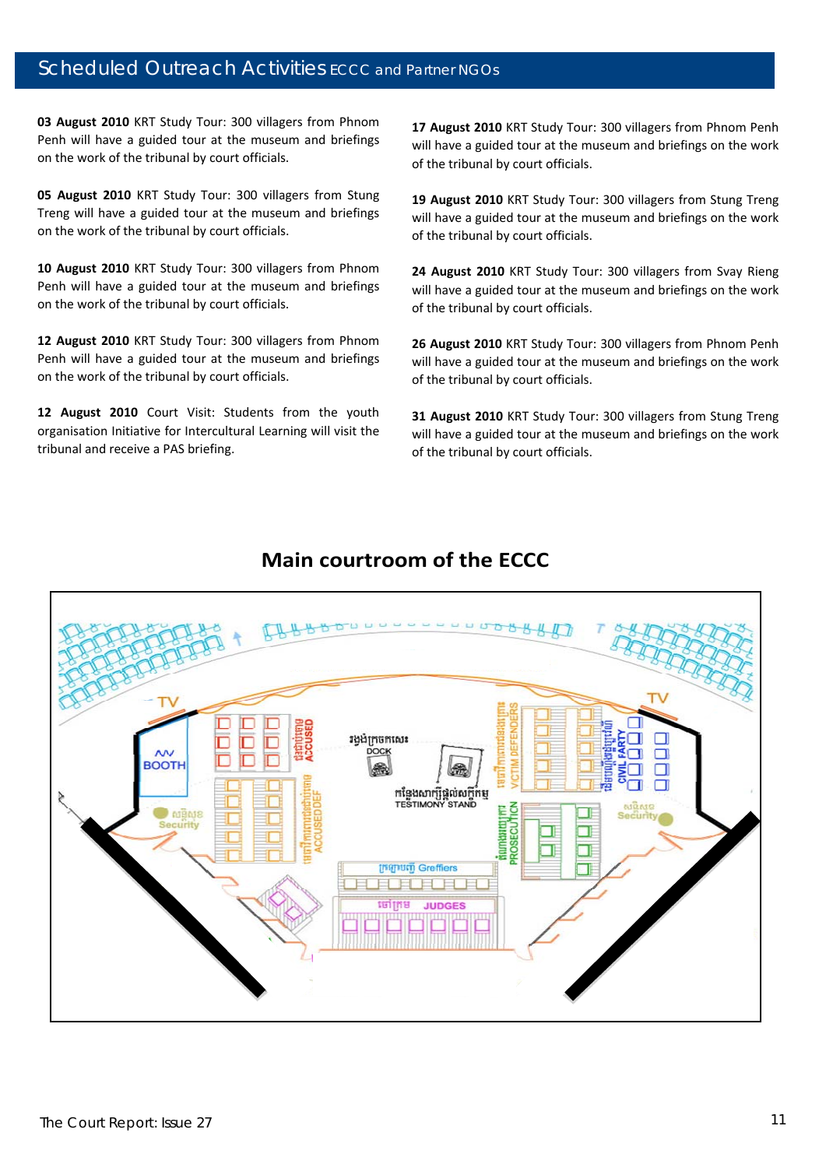#### Scheduled Outreach Activities ECCC and Partner NGOs

**03 August 2010** KRT Study Tour: 300 villagers from Phnom Penh will have a guided tour at the museum and briefings on the work of the tribunal by court officials.

**The magnet 2010** KKY 3004 Tours 300 Vinagers from 300ng<br>Treng will have a guided tour at the museum and briefings **05 August 2010** KRT Study Tour: 300 villagers from Stung on the work of the tribunal by court officials.

**10 August 2010** KRT Study Tour: 300 villagers from Phnom Penh will have a guided tour at the museum and briefings on the work of the tribunal by court officials.

**12 August 2010** KRT Study Tour: 300 villagers from Phnom Penh will have a guided tour at the museum and briefings on the work of the tribunal by court officials.

**12 August 2010** Court Visit: Students from the youth organisation Initiative for Intercultural Learning will visit the tribunal and receive a PAS briefing.

**17 August 2010** KRT Study Tour: 300 villagers from Phnom Penh will have a guided tour at the museum and briefings on the work of the tribunal by court officials.

**19 August 2010** KRT Study Tour: 300 villagers from Stung Treng will have a guided tour at the museum and briefings on the work of the tribunal by court officials.

**24 August 2010** KRT Study Tour: 300 villagers from Svay Rieng will have a guided tour at the museum and briefings on the work of the tribunal by court officials.

**26 August 2010** KRT Study Tour: 300 villagers from Phnom Penh will have a guided tour at the museum and briefings on the work of the tribunal by court officials.

**31 August 2010** KRT Study Tour: 300 villagers from Stung Treng will have a guided tour at the museum and briefings on the work of the tribunal by court officials.



### **Main courtroom of the ECCC**